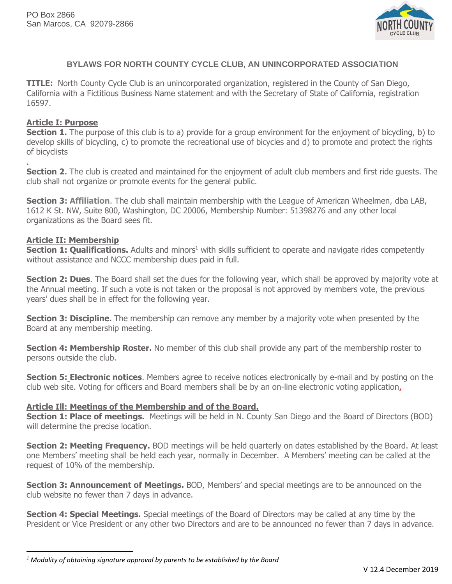

# **BYLAWS FOR NORTH COUNTY CYCLE CLUB, AN UNINCORPORATED ASSOCIATION**

**TITLE:** North County Cycle Club is an unincorporated organization, registered in the County of San Diego, California with a Fictitious Business Name statement and with the Secretary of State of California, registration 16597.

### **Article I: Purpose**

.

**Section 1.** The purpose of this club is to a) provide for a group environment for the enjoyment of bicycling, b) to develop skills of bicycling, c) to promote the recreational use of bicycles and d) to promote and protect the rights of bicyclists

**Section 2.** The club is created and maintained for the enjoyment of adult club members and first ride guests. The club shall not organize or promote events for the general public.

**Section 3: Affiliation**. The club shall maintain membership with the League of American Wheelmen, dba LAB, 1612 K St. NW, Suite 800, Washington, DC 20006, Membership Number: 51398276 and any other local organizations as the Board sees fit.

#### **Article II: Membership**

**Section 1: Qualifications.** Adults and minors<sup>1</sup> with skills sufficient to operate and navigate rides competently without assistance and NCCC membership dues paid in full.

**Section 2: Dues**. The Board shall set the dues for the following year, which shall be approved by majority vote at the Annual meeting. If such a vote is not taken or the proposal is not approved by members vote, the previous years' dues shall be in effect for the following year.

**Section 3: Discipline.** The membership can remove any member by a majority vote when presented by the Board at any membership meeting.

**Section 4: Membership Roster.** No member of this club shall provide any part of the membership roster to persons outside the club.

**Section 5: Electronic notices**. Members agree to receive notices electronically by e-mail and by posting on the club web site. Voting for officers and Board members shall be by an on-line electronic voting application.

#### **Article Ill: Meetings of the Membership and of the Board.**

**Section 1: Place of meetings.** Meetings will be held in N. County San Diego and the Board of Directors (BOD) will determine the precise location.

**Section 2: Meeting Frequency.** BOD meetings will be held quarterly on dates established by the Board. At least one Members' meeting shall be held each year, normally in December. A Members' meeting can be called at the request of 10% of the membership.

**Section 3: Announcement of Meetings.** BOD, Members' and special meetings are to be announced on the club website no fewer than 7 days in advance.

**Section 4: Special Meetings.** Special meetings of the Board of Directors may be called at any time by the President or Vice President or any other two Directors and are to be announced no fewer than 7 days in advance.

*<sup>1</sup> Modality of obtaining signature approval by parents to be established by the Board*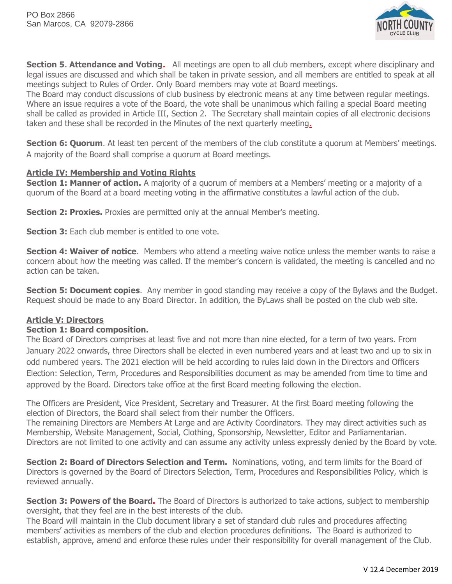

**Section 5. Attendance and Voting.** All meetings are open to all club members, except where disciplinary and legal issues are discussed and which shall be taken in private session, and all members are entitled to speak at all meetings subject to Rules of Order. Only Board members may vote at Board meetings.

The Board may conduct discussions of club business by electronic means at any time between regular meetings. Where an issue requires a vote of the Board, the vote shall be unanimous which failing a special Board meeting shall be called as provided in Article III, Section 2. The Secretary shall maintain copies of all electronic decisions taken and these shall be recorded in the Minutes of the next quarterly meeting.

**Section 6: Quorum.** At least ten percent of the members of the club constitute a quorum at Members' meetings. A majority of the Board shall comprise a quorum at Board meetings.

## **Article IV: Membership and Voting Rights**

Section 1: Manner of action. A majority of a quorum of members at a Members' meeting or a majority of a quorum of the Board at a board meeting voting in the affirmative constitutes a lawful action of the club.

**Section 2: Proxies.** Proxies are permitted only at the annual Member's meeting.

**Section 3:** Each club member is entitled to one vote.

**Section 4: Waiver of notice**. Members who attend a meeting waive notice unless the member wants to raise a concern about how the meeting was called. If the member's concern is validated, the meeting is cancelled and no action can be taken.

**Section 5: Document copies.** Any member in good standing may receive a copy of the Bylaws and the Budget. Request should be made to any Board Director. In addition, the ByLaws shall be posted on the club web site.

### **Article V: Directors**

### **Section 1: Board composition.**

The Board of Directors comprises at least five and not more than nine elected, for a term of two years. From January 2022 onwards, three Directors shall be elected in even numbered years and at least two and up to six in odd numbered years. The 2021 election will be held according to rules laid down in the Directors and Officers Election: Selection, Term, Procedures and Responsibilities document as may be amended from time to time and approved by the Board. Directors take office at the first Board meeting following the election.

The Officers are President, Vice President, Secretary and Treasurer. At the first Board meeting following the election of Directors, the Board shall select from their number the Officers.

The remaining Directors are Members At Large and are Activity Coordinators. They may direct activities such as Membership, Website Management, Social, Clothing, Sponsorship, Newsletter, Editor and Parliamentarian. Directors are not limited to one activity and can assume any activity unless expressly denied by the Board by vote.

**Section 2: Board of Directors Selection and Term.** Nominations, voting, and term limits for the Board of Directors is governed by the Board of Directors Selection, Term, Procedures and Responsibilities Policy, which is reviewed annually.

**Section 3: Powers of the Board.** The Board of Directors is authorized to take actions, subject to membership oversight, that they feel are in the best interests of the club.

The Board will maintain in the Club document library a set of standard club rules and procedures affecting members' activities as members of the club and election procedures definitions. The Board is authorized to establish, approve, amend and enforce these rules under their responsibility for overall management of the Club.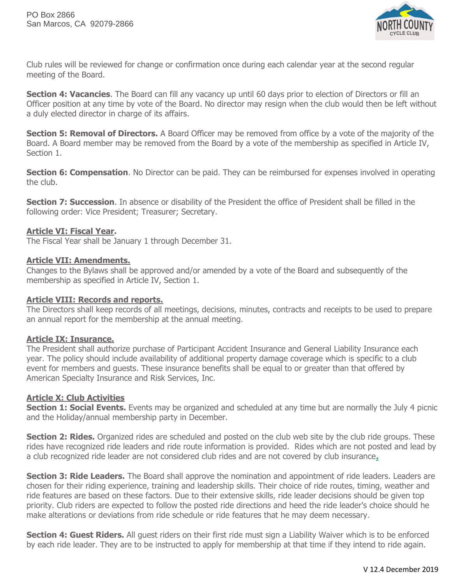

Club rules will be reviewed for change or confirmation once during each calendar year at the second regular meeting of the Board.

**Section 4: Vacancies**. The Board can fill any vacancy up until 60 days prior to election of Directors or fill an Officer position at any time by vote of the Board. No director may resign when the club would then be left without a duly elected director in charge of its affairs.

**Section 5: Removal of Directors.** A Board Officer may be removed from office by a vote of the majority of the Board. A Board member may be removed from the Board by a vote of the membership as specified in Article IV, Section 1.

**Section 6: Compensation**. No Director can be paid. They can be reimbursed for expenses involved in operating the club.

**Section 7: Succession**. In absence or disability of the President the office of President shall be filled in the following order: Vice President; Treasurer; Secretary.

## **Article VI: Fiscal Year.**

The Fiscal Year shall be January 1 through December 31.

### **Article VII: Amendments.**

Changes to the Bylaws shall be approved and/or amended by a vote of the Board and subsequently of the membership as specified in Article IV, Section 1.

### **Article VIII: Records and reports.**

The Directors shall keep records of all meetings, decisions, minutes, contracts and receipts to be used to prepare an annual report for the membership at the annual meeting.

### **Article IX: Insurance.**

The President shall authorize purchase of Participant Accident Insurance and General Liability Insurance each year. The policy should include availability of additional property damage coverage which is specific to a club event for members and guests. These insurance benefits shall be equal to or greater than that offered by American Specialty Insurance and Risk Services, Inc.

### **Article X: Club Activities**

**Section 1: Social Events.** Events may be organized and scheduled at any time but are normally the July 4 picnic and the Holiday/annual membership party in December.

**Section 2: Rides.** Organized rides are scheduled and posted on the club web site by the club ride groups. These rides have recognized ride leaders and ride route information is provided. Rides which are not posted and lead by a club recognized ride leader are not considered club rides and are not covered by club insurance**.** 

**Section 3: Ride Leaders.** The Board shall approve the nomination and appointment of ride leaders. Leaders are chosen for their riding experience, training and leadership skills. Their choice of ride routes, timing, weather and ride features are based on these factors. Due to their extensive skills, ride leader decisions should be given top priority. Club riders are expected to follow the posted ride directions and heed the ride leader's choice should he make alterations or deviations from ride schedule or ride features that he may deem necessary.

**Section 4: Guest Riders.** All guest riders on their first ride must sign a Liability Waiver which is to be enforced by each ride leader. They are to be instructed to apply for membership at that time if they intend to ride again.